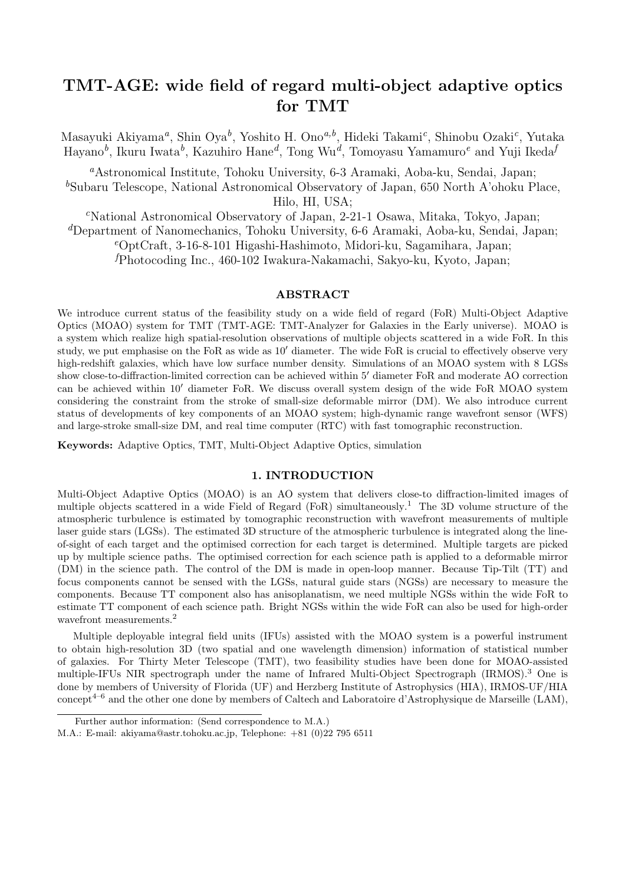# **TMT-AGE: wide field of regard multi-object adaptive optics for TMT**

Masayuki Akiyama*<sup>a</sup>* , Shin Oya*<sup>b</sup>* , Yoshito H. Ono*a,b*, Hideki Takami*<sup>c</sup>* , Shinobu Ozaki*<sup>c</sup>* , Yutaka Hayano*<sup>b</sup>* , Ikuru Iwata*<sup>b</sup>* , Kazuhiro Hane*<sup>d</sup>* , Tong Wu*<sup>d</sup>* , Tomoyasu Yamamuro*<sup>e</sup>* and Yuji Ikeda*<sup>f</sup>*

*<sup>a</sup>*Astronomical Institute, Tohoku University, 6-3 Aramaki, Aoba-ku, Sendai, Japan; <sup>b</sup>Subaru Telescope, National Astronomical Observatory of Japan, 650 North A'ohoku Place, Hilo, HI, USA;

*<sup>c</sup>*National Astronomical Observatory of Japan, 2-21-1 Osawa, Mitaka, Tokyo, Japan; *<sup>d</sup>*Department of Nanomechanics, Tohoku University, 6-6 Aramaki, Aoba-ku, Sendai, Japan; *<sup>e</sup>*OptCraft, 3-16-8-101 Higashi-Hashimoto, Midori-ku, Sagamihara, Japan; *<sup>f</sup>*Photocoding Inc., 460-102 Iwakura-Nakamachi, Sakyo-ku, Kyoto, Japan;

### **ABSTRACT**

We introduce current status of the feasibility study on a wide field of regard (FoR) Multi-Object Adaptive Optics (MOAO) system for TMT (TMT-AGE: TMT-Analyzer for Galaxies in the Early universe). MOAO is a system which realize high spatial-resolution observations of multiple objects scattered in a wide FoR. In this study, we put emphasise on the FoR as wide as 10*′* diameter. The wide FoR is crucial to effectively observe very high-redshift galaxies, which have low surface number density. Simulations of an MOAO system with 8 LGSs show close-to-diffraction-limited correction can be achieved within 5*′* diameter FoR and moderate AO correction can be achieved within 10*′* diameter FoR. We discuss overall system design of the wide FoR MOAO system considering the constraint from the stroke of small-size deformable mirror (DM). We also introduce current status of developments of key components of an MOAO system; high-dynamic range wavefront sensor (WFS) and large-stroke small-size DM, and real time computer (RTC) with fast tomographic reconstruction.

**Keywords:** Adaptive Optics, TMT, Multi-Object Adaptive Optics, simulation

# **1. INTRODUCTION**

Multi-Object Adaptive Optics (MOAO) is an AO system that delivers close-to diffraction-limited images of multiple objects scattered in a wide Field of Regard (FoR) simultaneously.<sup>1</sup> The 3D volume structure of the atmospheric turbulence is estimated by tomographic reconstruction with wavefront measurements of multiple laser guide stars (LGSs). The estimated 3D structure of the atmospheric turbulence is integrated along the lineof-sight of each target and the optimised correction for each target is determined. Multiple targets are picked up by multiple science paths. The optimised correction for each science path is applied to a deformable mirror (DM) in the science path. The control of the DM is made in open-loop manner. Because Tip-Tilt (TT) and focus components cannot be sensed with the LGSs, natural guide stars (NGSs) are necessary to measure the components. Because TT component also has anisoplanatism, we need multiple NGSs within the wide FoR to estimate TT component of each science path. Bright NGSs within the wide FoR can also be used for high-order wavefront measurements.<sup>2</sup>

Multiple deployable integral field units (IFUs) assisted with the MOAO system is a powerful instrument to obtain high-resolution 3D (two spatial and one wavelength dimension) information of statistical number of galaxies. For Thirty Meter Telescope (TMT), two feasibility studies have been done for MOAO-assisted multiple-IFUs NIR spectrograph under the name of Infrared Multi-Object Spectrograph (IRMOS).<sup>3</sup> One is done by members of University of Florida (UF) and Herzberg Institute of Astrophysics (HIA), IRMOS-UF/HIA concept<sup>4–6</sup> and the other one done by members of Caltech and Laboratoire d'Astrophysique de Marseille (LAM),

Further author information: (Send correspondence to M.A.)

M.A.: E-mail: akiyama@astr.tohoku.ac.jp, Telephone: +81 (0)22 795 6511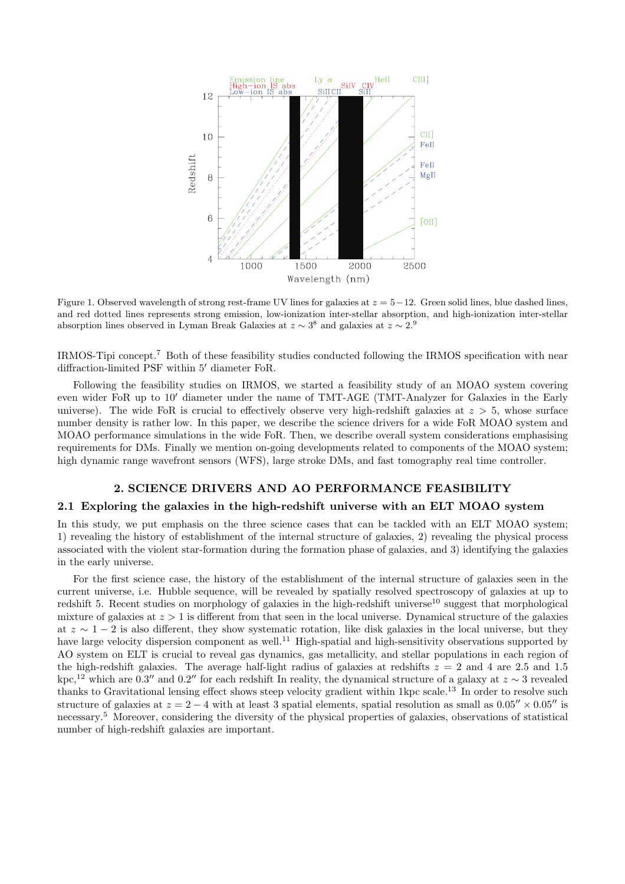

Figure 1. Observed wavelength of strong rest-frame UV lines for galaxies at *z* = 5*−*12. Green solid lines, blue dashed lines, and red dotted lines represents strong emission, low-ionization inter-stellar absorption, and high-ionization inter-stellar absorption lines observed in Lyman Break Galaxies at  $z \sim 3^8$  and galaxies at  $z \sim 2.9$ 

IRMOS-Tipi concept.<sup>7</sup> Both of these feasibility studies conducted following the IRMOS specification with near diffraction-limited PSF within 5*′* diameter FoR.

Following the feasibility studies on IRMOS, we started a feasibility study of an MOAO system covering even wider FoR up to 10*′* diameter under the name of TMT-AGE (TMT-Analyzer for Galaxies in the Early universe). The wide FoR is crucial to effectively observe very high-redshift galaxies at *z >* 5, whose surface number density is rather low. In this paper, we describe the science drivers for a wide FoR MOAO system and MOAO performance simulations in the wide FoR. Then, we describe overall system considerations emphasising requirements for DMs. Finally we mention on-going developments related to components of the MOAO system; high dynamic range wavefront sensors (WFS), large stroke DMs, and fast tomography real time controller.

#### **2. SCIENCE DRIVERS AND AO PERFORMANCE FEASIBILITY**

#### **2.1 Exploring the galaxies in the high-redshift universe with an ELT MOAO system**

In this study, we put emphasis on the three science cases that can be tackled with an ELT MOAO system; 1) revealing the history of establishment of the internal structure of galaxies, 2) revealing the physical process associated with the violent star-formation during the formation phase of galaxies, and 3) identifying the galaxies in the early universe.

For the first science case, the history of the establishment of the internal structure of galaxies seen in the current universe, i.e. Hubble sequence, will be revealed by spatially resolved spectroscopy of galaxies at up to redshift 5. Recent studies on morphology of galaxies in the high-redshift universe<sup>10</sup> suggest that morphological mixture of galaxies at *z >* 1 is different from that seen in the local universe. Dynamical structure of the galaxies at *z ∼* 1 *−* 2 is also different, they show systematic rotation, like disk galaxies in the local universe, but they have large velocity dispersion component as well.<sup>11</sup> High-spatial and high-sensitivity observations supported by AO system on ELT is crucial to reveal gas dynamics, gas metallicity, and stellar populations in each region of the high-redshift galaxies. The average half-light radius of galaxies at redshifts  $z = 2$  and 4 are 2.5 and 1.5 kpc,<sup>12</sup> which are 0.3'' and 0.2'' for each redshift In reality, the dynamical structure of a galaxy at  $z \sim 3$  revealed thanks to Gravitational lensing effect shows steep velocity gradient within 1kpc scale.<sup>13</sup> In order to resolve such structure of galaxies at  $z = 2 - 4$  with at least 3 spatial elements, spatial resolution as small as  $0.05'' \times 0.05''$  is necessary.<sup>5</sup> Moreover, considering the diversity of the physical properties of galaxies, observations of statistical number of high-redshift galaxies are important.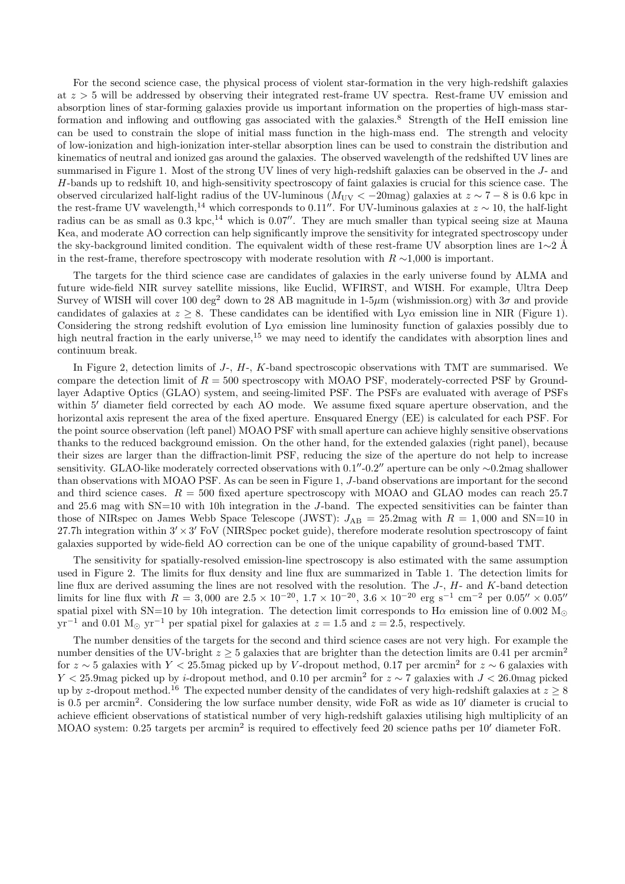For the second science case, the physical process of violent star-formation in the very high-redshift galaxies at *z >* 5 will be addressed by observing their integrated rest-frame UV spectra. Rest-frame UV emission and absorption lines of star-forming galaxies provide us important information on the properties of high-mass starformation and inflowing and outflowing gas associated with the galaxies.<sup>8</sup> Strength of the HeII emission line can be used to constrain the slope of initial mass function in the high-mass end. The strength and velocity of low-ionization and high-ionization inter-stellar absorption lines can be used to constrain the distribution and kinematics of neutral and ionized gas around the galaxies. The observed wavelength of the redshifted UV lines are summarised in Figure 1. Most of the strong UV lines of very high-redshift galaxies can be observed in the *J*- and *H*-bands up to redshift 10, and high-sensitivity spectroscopy of faint galaxies is crucial for this science case. The observed circularized half-light radius of the UV-luminous ( $M_{\text{UV}} < -20$  mag) galaxies at  $z \sim 7 - 8$  is 0.6 kpc in the rest-frame UV wavelength,<sup>14</sup> which corresponds to 0.11<sup>*′′*</sup>. For UV-luminous galaxies at  $z \sim 10$ , the half-light radius can be as small as  $0.3 \text{ kpc}$ ,<sup>14</sup> which is 0.07<sup>*′′*</sup>. They are much smaller than typical seeing size at Mauna Kea, and moderate AO correction can help significantly improve the sensitivity for integrated spectroscopy under the sky-background limited condition. The equivalent width of these rest-frame UV absorption lines are 1∼2 Å in the rest-frame, therefore spectroscopy with moderate resolution with *R ∼*1,000 is important.

The targets for the third science case are candidates of galaxies in the early universe found by ALMA and future wide-field NIR survey satellite missions, like Euclid, WFIRST, and WISH. For example, Ultra Deep Survey of WISH will cover 100 deg<sup>2</sup> down to 28 AB magnitude in 1-5 $\mu$ m (wishmission.org) with  $3\sigma$  and provide candidates of galaxies at  $z \geq 8$ . These candidates can be identified with Ly<sub>*Q*</sub> emission line in NIR (Figure 1). Considering the strong redshift evolution of Ly*α* emission line luminosity function of galaxies possibly due to high neutral fraction in the early universe, $15$  we may need to identify the candidates with absorption lines and continuum break.

In Figure 2, detection limits of *J*-, *H*-, *K*-band spectroscopic observations with TMT are summarised. We compare the detection limit of  $R = 500$  spectroscopy with MOAO PSF, moderately-corrected PSF by Groundlayer Adaptive Optics (GLAO) system, and seeing-limited PSF. The PSFs are evaluated with average of PSFs within 5<sup>'</sup> diameter field corrected by each AO mode. We assume fixed square aperture observation, and the horizontal axis represent the area of the fixed aperture. Ensquared Energy (EE) is calculated for each PSF. For the point source observation (left panel) MOAO PSF with small aperture can achieve highly sensitive observations thanks to the reduced background emission. On the other hand, for the extended galaxies (right panel), because their sizes are larger than the diffraction-limit PSF, reducing the size of the aperture do not help to increase sensitivity. GLAO-like moderately corrected observations with 0*.*1 *′′*-0*.*2 *′′* aperture can be only *∼*0.2mag shallower than observations with MOAO PSF. As can be seen in Figure 1, *J*-band observations are important for the second and third science cases.  $R = 500$  fixed aperture spectroscopy with MOAO and GLAO modes can reach 25.7 and 25.6 mag with SN=10 with 10h integration in the *J*-band. The expected sensitivities can be fainter than those of NIRspec on James Webb Space Telescope (JWST):  $J_{AB} = 25.2$  mag with  $R = 1,000$  and SN=10 in 27.7h integration within 3*′ ×*3 *′* FoV (NIRSpec pocket guide), therefore moderate resolution spectroscopy of faint galaxies supported by wide-field AO correction can be one of the unique capability of ground-based TMT.

The sensitivity for spatially-resolved emission-line spectroscopy is also estimated with the same assumption used in Figure 2. The limits for flux density and line flux are summarized in Table 1. The detection limits for line flux are derived assuming the lines are not resolved with the resolution. The *J*-, *H*- and *K*-band detection limits for line flux with  $R = 3{,}000$  are  $2.5 \times 10^{-20}$ ,  $1.7 \times 10^{-20}$ ,  $3.6 \times 10^{-20}$  erg s<sup>-1</sup> cm<sup>-2</sup> per  $0.05'' \times 0.05''$ spatial pixel with SN=10 by 10h integration. The detection limit corresponds to H $\alpha$  emission line of 0.002 M<sub> $\odot$ </sub>  $yr^{-1}$  and 0.01 M<sub>☉</sub>  $yr^{-1}$  per spatial pixel for galaxies at  $z = 1.5$  and  $z = 2.5$ , respectively.

The number densities of the targets for the second and third science cases are not very high. For example the number densities of the UV-bright  $z \geq 5$  galaxies that are brighter than the detection limits are 0.41 per arcmin<sup>2</sup> for  $z \sim 5$  galaxies with  $Y < 25.5$  mag picked up by *V*-dropout method, 0.17 per arcmin<sup>2</sup> for  $z \sim 6$  galaxies with *Y <* 25*.*9mag picked up by *i*-dropout method, and 0.10 per arcmin<sup>2</sup> for *z ∼* 7 galaxies with *J <* 26*.*0mag picked up by *z*-dropout method.<sup>16</sup> The expected number density of the candidates of very high-redshift galaxies at  $z \geq 8$ is 0.5 per arcmin<sup>2</sup> . Considering the low surface number density, wide FoR as wide as 10*′* diameter is crucial to achieve efficient observations of statistical number of very high-redshift galaxies utilising high multiplicity of an MOAO system: 0.25 targets per arcmin<sup>2</sup> is required to effectively feed 20 science paths per 10<sup>'</sup> diameter FoR.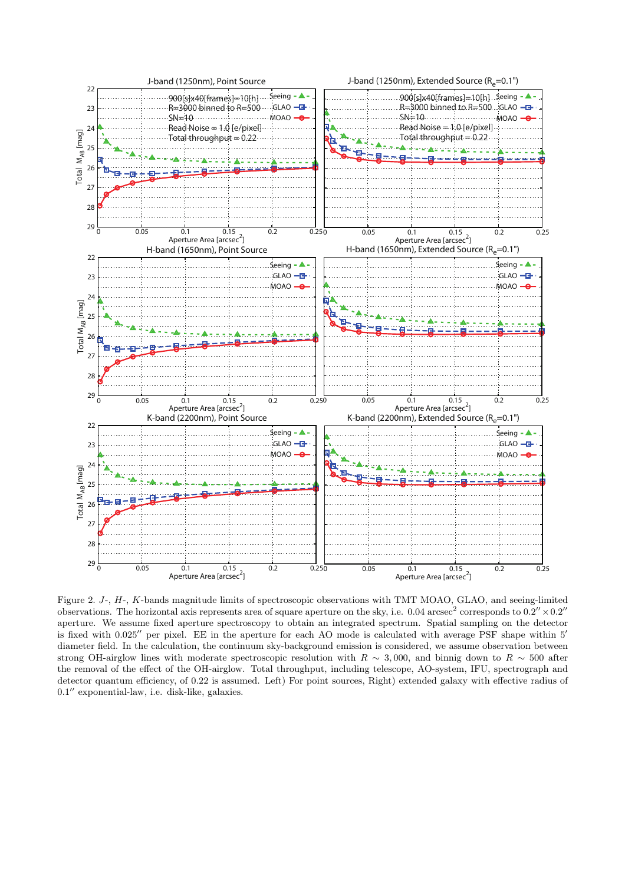

Figure 2. *J*-, *H*-, *K*-bands magnitude limits of spectroscopic observations with TMT MOAO, GLAO, and seeing-limited observations. The horizontal axis represents area of square aperture on the sky, i.e.  $0.04 \text{ arcsec}^2$  corresponds to  $0.2'' \times 0.2''$ aperture. We assume fixed aperture spectroscopy to obtain an integrated spectrum. Spatial sampling on the detector is fixed with 0.025*′′* per pixel. EE in the aperture for each AO mode is calculated with average PSF shape within 5*′* diameter field. In the calculation, the continuum sky-background emission is considered, we assume observation between strong OH-airglow lines with moderate spectroscopic resolution with  $R \sim 3,000$ , and binnig down to  $R \sim 500$  after the removal of the effect of the OH-airglow. Total throughput, including telescope, AO-system, IFU, spectrograph and detector quantum efficiency, of 0.22 is assumed. Left) For point sources, Right) extended galaxy with effective radius of 0*.*1 *′′* exponential-law, i.e. disk-like, galaxies.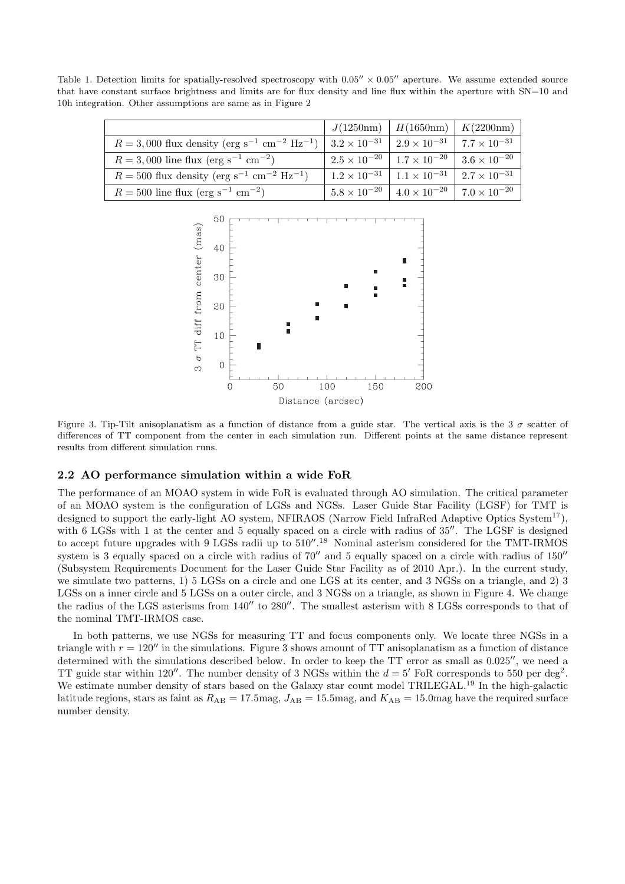Table 1. Detection limits for spatially-resolved spectroscopy with 0*.*05*′′ ×* 0*.*05*′′* aperture. We assume extended source that have constant surface brightness and limits are for flux density and line flux within the aperture with SN=10 and 10h integration. Other assumptions are same as in Figure 2

|                                                                                   |                       | $J(1250nm)$   $H(1650nm)$   $K(2200nm)$                               |  |
|-----------------------------------------------------------------------------------|-----------------------|-----------------------------------------------------------------------|--|
| $R = 3,000$ flux density (erg s <sup>-1</sup> cm <sup>-2</sup> Hz <sup>-1</sup> ) | $3.2 \times 10^{-31}$ | $2.9 \times 10^{-31}$   $7.7 \times 10^{-31}$                         |  |
| $R = 3,000$ line flux (erg s <sup>-1</sup> cm <sup>-2</sup> )                     |                       | $2.5 \times 10^{-20}$   $1.7 \times 10^{-20}$   $3.6 \times 10^{-20}$ |  |
| $R = 500$ flux density (erg s <sup>-1</sup> cm <sup>-2</sup> Hz <sup>-1</sup> )   |                       | $1.2 \times 10^{-31}$   $1.1 \times 10^{-31}$   $2.7 \times 10^{-31}$ |  |
| $R = 500$ line flux (erg s <sup>-1</sup> cm <sup>-2</sup> )                       |                       | $5.8 \times 10^{-20}$ $4.0 \times 10^{-20}$ 7.0 $\times 10^{-20}$     |  |



Figure 3. Tip-Tilt anisoplanatism as a function of distance from a guide star. The vertical axis is the 3 *σ* scatter of differences of TT component from the center in each simulation run. Different points at the same distance represent results from different simulation runs.

## **2.2 AO performance simulation within a wide FoR**

The performance of an MOAO system in wide FoR is evaluated through AO simulation. The critical parameter of an MOAO system is the configuration of LGSs and NGSs. Laser Guide Star Facility (LGSF) for TMT is designed to support the early-light AO system, NFIRAOS (Narrow Field InfraRed Adaptive Optics System<sup>17</sup>), with 6 LGSs with 1 at the center and 5 equally spaced on a circle with radius of 35<sup>*′′*</sup>. The LGSF is designed to accept future upgrades with 9 LGSs radii up to 510*′′* . <sup>18</sup> Nominal asterism considered for the TMT-IRMOS system is 3 equally spaced on a circle with radius of 70*′′* and 5 equally spaced on a circle with radius of 150*′′* (Subsystem Requirements Document for the Laser Guide Star Facility as of 2010 Apr.). In the current study, we simulate two patterns, 1) 5 LGSs on a circle and one LGS at its center, and 3 NGSs on a triangle, and 2) 3 LGSs on a inner circle and 5 LGSs on a outer circle, and 3 NGSs on a triangle, as shown in Figure 4. We change the radius of the LGS asterisms from 140*′′* to 280*′′*. The smallest asterism with 8 LGSs corresponds to that of the nominal TMT-IRMOS case.

In both patterns, we use NGSs for measuring TT and focus components only. We locate three NGSs in a triangle with  $r = 120''$  in the simulations. Figure 3 shows amount of TT anisoplanatism as a function of distance determined with the simulations described below. In order to keep the TT error as small as 0.025*′′*, we need a TT guide star within 120''. The number density of 3 NGSs within the  $d = 5'$  FoR corresponds to 550 per deg<sup>2</sup>. We estimate number density of stars based on the Galaxy star count model TRILEGAL.<sup>19</sup> In the high-galactic latitude regions, stars as faint as  $R_{AB} = 17.5$ mag,  $J_{AB} = 15.5$ mag, and  $K_{AB} = 15.0$ mag have the required surface number density.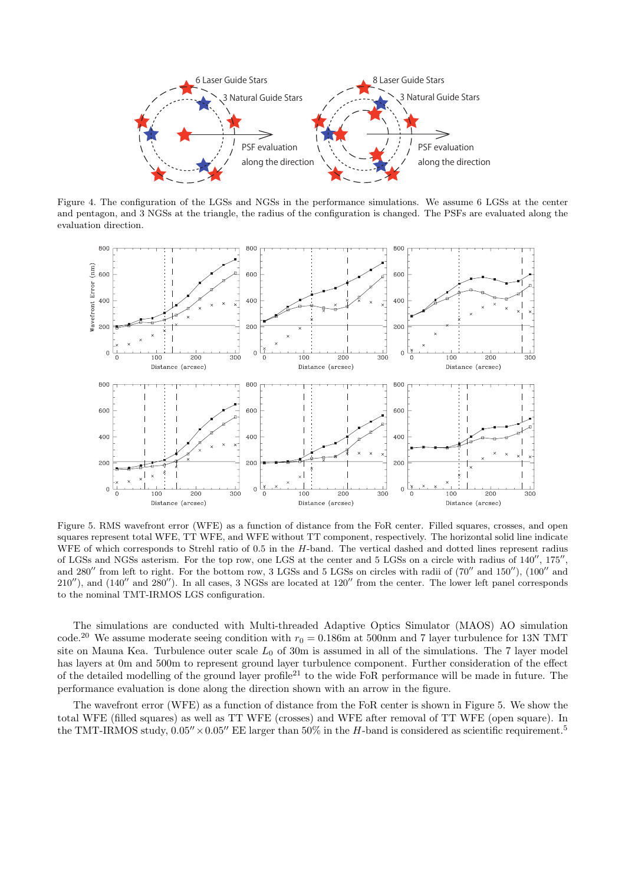

Figure 4. The configuration of the LGSs and NGSs in the performance simulations. We assume 6 LGSs at the center and pentagon, and 3 NGSs at the triangle, the radius of the configuration is changed. The PSFs are evaluated along the evaluation direction.



Figure 5. RMS wavefront error (WFE) as a function of distance from the FoR center. Filled squares, crosses, and open squares represent total WFE, TT WFE, and WFE without TT component, respectively. The horizontal solid line indicate WFE of which corresponds to Strehl ratio of 0.5 in the *H*-band. The vertical dashed and dotted lines represent radius of LGSs and NGSs asterism. For the top row, one LGS at the center and 5 LGSs on a circle with radius of 140*′′*, 175*′′* , and 280*′′* from left to right. For the bottom row, 3 LGSs and 5 LGSs on circles with radii of (70*′′* and 150*′′*), (100*′′* and 210*′′*), and (140*′′* and 280*′′*). In all cases, 3 NGSs are located at 120*′′* from the center. The lower left panel corresponds to the nominal TMT-IRMOS LGS configuration.

The simulations are conducted with Multi-threaded Adaptive Optics Simulator (MAOS) AO simulation code.<sup>20</sup> We assume moderate seeing condition with  $r_0 = 0.186$ m at 500nm and 7 layer turbulence for 13N TMT site on Mauna Kea. Turbulence outer scale  $L_0$  of 30m is assumed in all of the simulations. The 7 layer model has layers at 0m and 500m to represent ground layer turbulence component. Further consideration of the effect of the detailed modelling of the ground layer profile<sup>21</sup> to the wide FoR performance will be made in future. The performance evaluation is done along the direction shown with an arrow in the figure.

The wavefront error (WFE) as a function of distance from the FoR center is shown in Figure 5. We show the total WFE (filled squares) as well as TT WFE (crosses) and WFE after removal of TT WFE (open square). In the TMT-IRMOS study,  $0.05'' \times 0.05''$  EE larger than 50% in the *H*-band is considered as scientific requirement.<sup>5</sup>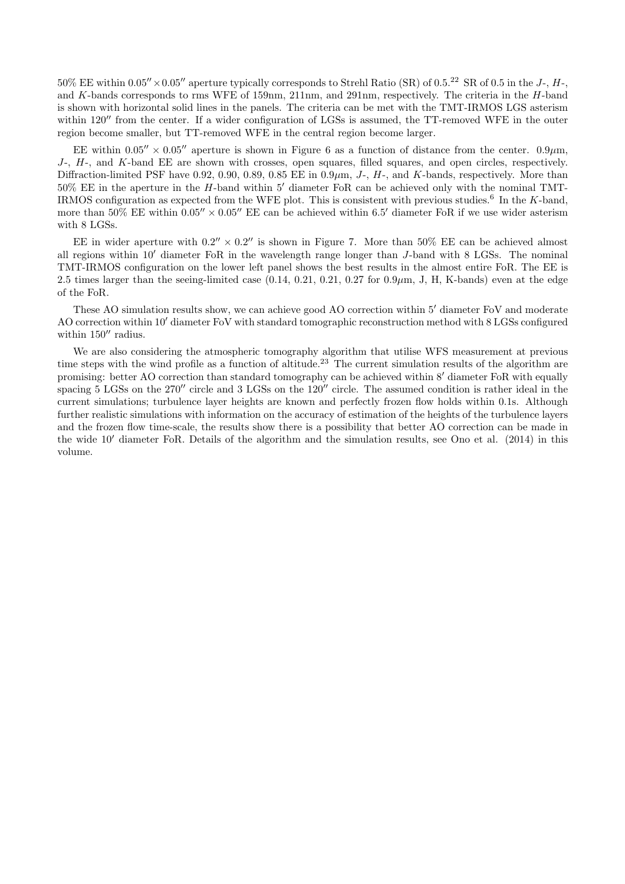$50\%$  EE within  $0.05'' \times 0.05''$  aperture typically corresponds to Strehl Ratio (SR) of  $0.5^{22}$  SR of  $0.5$  in the *J*-, *H*and *K*-bands corresponds to rms WFE of 159nm, 211nm, and 291nm, respectively. The criteria in the *H*-band is shown with horizontal solid lines in the panels. The criteria can be met with the TMT-IRMOS LGS asterism within 120<sup>*′′*</sup> from the center. If a wider configuration of LGSs is assumed, the TT-removed WFE in the outer region become smaller, but TT-removed WFE in the central region become larger.

EE within  $0.05'' \times 0.05''$  aperture is shown in Figure 6 as a function of distance from the center.  $0.9 \mu m$ , *J*-, *H*-, and *K*-band EE are shown with crosses, open squares, filled squares, and open circles, respectively. Diffraction-limited PSF have 0.92, 0.90, 0.89, 0.85 EE in 0.9*µ*m, *J*-, *H*-, and *K*-bands, respectively. More than 50% EE in the aperture in the *H*-band within 5*′* diameter FoR can be achieved only with the nominal TMT-IRMOS configuration as expected from the WFE plot. This is consistent with previous studies.<sup>6</sup> In the *K*-band, more than 50% EE within  $0.05'' \times 0.05''$  EE can be achieved within 6.5' diameter FoR if we use wider asterism with 8 LGSs.

EE in wider aperture with  $0.2'' \times 0.2''$  is shown in Figure 7. More than 50% EE can be achieved almost all regions within 10*′* diameter FoR in the wavelength range longer than *J*-band with 8 LGSs. The nominal TMT-IRMOS configuration on the lower left panel shows the best results in the almost entire FoR. The EE is 2.5 times larger than the seeing-limited case (0.14, 0.21, 0.21, 0.27 for 0.9*µ*m, J, H, K-bands) even at the edge of the FoR.

These AO simulation results show, we can achieve good AO correction within 5*′* diameter FoV and moderate AO correction within 10*′* diameter FoV with standard tomographic reconstruction method with 8 LGSs configured within 150*′′* radius.

We are also considering the atmospheric tomography algorithm that utilise WFS measurement at previous time steps with the wind profile as a function of altitude.<sup>23</sup> The current simulation results of the algorithm are promising: better AO correction than standard tomography can be achieved within 8*′* diameter FoR with equally spacing 5 LGSs on the 270*′′* circle and 3 LGSs on the 120*′′* circle. The assumed condition is rather ideal in the current simulations; turbulence layer heights are known and perfectly frozen flow holds within 0.1s. Although further realistic simulations with information on the accuracy of estimation of the heights of the turbulence layers and the frozen flow time-scale, the results show there is a possibility that better AO correction can be made in the wide 10*′* diameter FoR. Details of the algorithm and the simulation results, see Ono et al. (2014) in this volume.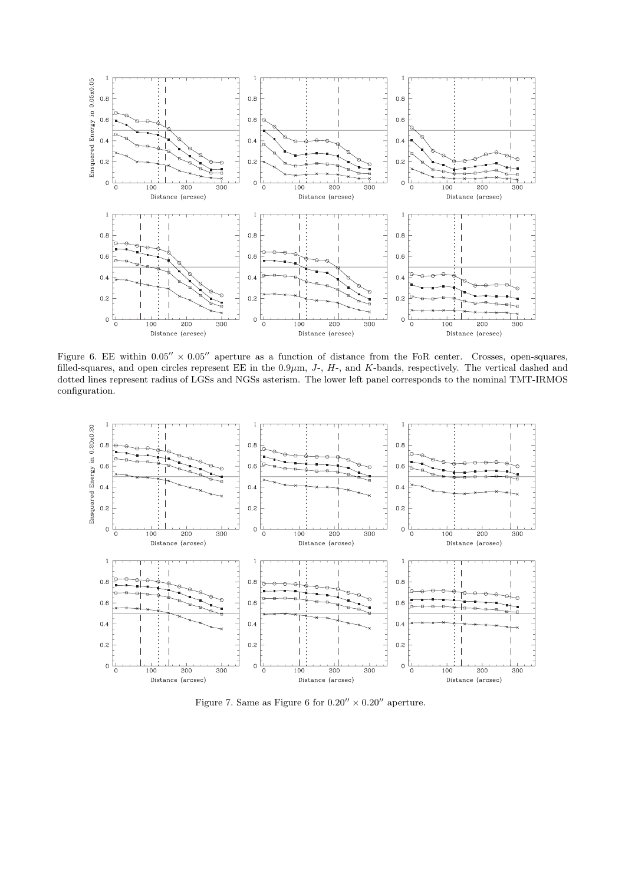

Figure 6. EE within  $0.05'' \times 0.05''$  aperture as a function of distance from the FoR center. Crosses, open-squares, filled-squares, and open circles represent EE in the 0*.*9*µ*m, *J*-, *H*-, and *K*-bands, respectively. The vertical dashed and dotted lines represent radius of LGSs and NGSs asterism. The lower left panel corresponds to the nominal TMT-IRMOS configuration.



Figure 7. Same as Figure 6 for  $0.20'' \times 0.20''$  aperture.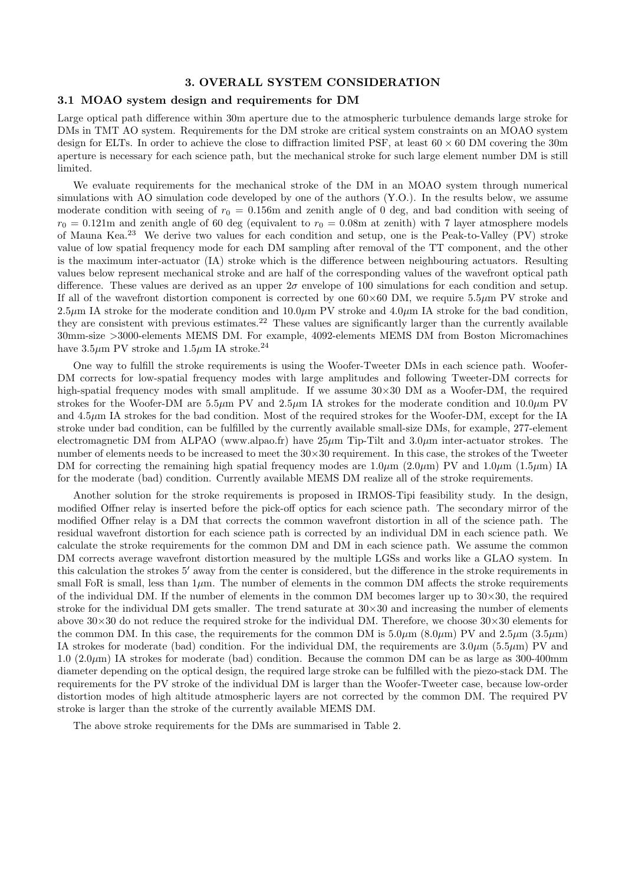## **3. OVERALL SYSTEM CONSIDERATION**

## **3.1 MOAO system design and requirements for DM**

Large optical path difference within 30m aperture due to the atmospheric turbulence demands large stroke for DMs in TMT AO system. Requirements for the DM stroke are critical system constraints on an MOAO system design for ELTs. In order to achieve the close to diffraction limited PSF, at least 60 *×* 60 DM covering the 30m aperture is necessary for each science path, but the mechanical stroke for such large element number DM is still limited.

We evaluate requirements for the mechanical stroke of the DM in an MOAO system through numerical simulations with AO simulation code developed by one of the authors (Y.O.). In the results below, we assume moderate condition with seeing of  $r_0 = 0.156$ m and zenith angle of 0 deg, and bad condition with seeing of  $r_0 = 0.121$ m and zenith angle of 60 deg (equivalent to  $r_0 = 0.08$ m at zenith) with 7 layer atmosphere models of Mauna Kea.<sup>23</sup> We derive two values for each condition and setup, one is the Peak-to-Valley (PV) stroke value of low spatial frequency mode for each DM sampling after removal of the TT component, and the other is the maximum inter-actuator (IA) stroke which is the difference between neighbouring actuators. Resulting values below represent mechanical stroke and are half of the corresponding values of the wavefront optical path difference. These values are derived as an upper 2*σ* envelope of 100 simulations for each condition and setup. If all of the wavefront distortion component is corrected by one  $60\times60$  DM, we require  $5.5\mu$ m PV stroke and 2.5 $\mu$ m IA stroke for the moderate condition and 10.0 $\mu$ m PV stroke and 4.0 $\mu$ m IA stroke for the bad condition, they are consistent with previous estimates.<sup>22</sup> These values are significantly larger than the currently available 30mm-size *>*3000-elements MEMS DM. For example, 4092-elements MEMS DM from Boston Micromachines have  $3.5\mu$ m PV stroke and  $1.5\mu$ m IA stroke.<sup>24</sup>

One way to fulfill the stroke requirements is using the Woofer-Tweeter DMs in each science path. Woofer-DM corrects for low-spatial frequency modes with large amplitudes and following Tweeter-DM corrects for high-spatial frequency modes with small amplitude. If we assume 30*×*30 DM as a Woofer-DM, the required strokes for the Woofer-DM are 5.5*µ*m PV and 2.5*µ*m IA strokes for the moderate condition and 10.0*µ*m PV and  $4.5\mu$ m IA strokes for the bad condition. Most of the required strokes for the Woofer-DM, except for the IA stroke under bad condition, can be fulfilled by the currently available small-size DMs, for example, 277-element electromagnetic DM from ALPAO (www.alpao.fr) have 25*µ*m Tip-Tilt and 3.0*µ*m inter-actuator strokes. The number of elements needs to be increased to meet the 30*×*30 requirement. In this case, the strokes of the Tweeter DM for correcting the remaining high spatial frequency modes are  $1.0 \mu m$  ( $2.0 \mu m$ ) PV and  $1.0 \mu m$  ( $1.5 \mu m$ ) IA for the moderate (bad) condition. Currently available MEMS DM realize all of the stroke requirements.

Another solution for the stroke requirements is proposed in IRMOS-Tipi feasibility study. In the design, modified Offner relay is inserted before the pick-off optics for each science path. The secondary mirror of the modified Offner relay is a DM that corrects the common wavefront distortion in all of the science path. The residual wavefront distortion for each science path is corrected by an individual DM in each science path. We calculate the stroke requirements for the common DM and DM in each science path. We assume the common DM corrects average wavefront distortion measured by the multiple LGSs and works like a GLAO system. In this calculation the strokes 5*′* away from the center is considered, but the difference in the stroke requirements in small FoR is small, less than  $1\mu$ m. The number of elements in the common DM affects the stroke requirements of the individual DM. If the number of elements in the common DM becomes larger up to  $30 \times 30$ , the required stroke for the individual DM gets smaller. The trend saturate at 30*×*30 and increasing the number of elements above 30*×*30 do not reduce the required stroke for the individual DM. Therefore, we choose 30*×*30 elements for the common DM. In this case, the requirements for the common DM is  $5.0 \mu m$  (8.0 $\mu$ m) PV and  $2.5 \mu m$  (3.5 $\mu$ m) IA strokes for moderate (bad) condition. For the individual DM, the requirements are  $3.0 \mu m$  ( $5.5 \mu m$ ) PV and 1.0  $(2.0\,\mu\text{m})$  IA strokes for moderate (bad) condition. Because the common DM can be as large as 300-400mm diameter depending on the optical design, the required large stroke can be fulfilled with the piezo-stack DM. The requirements for the PV stroke of the individual DM is larger than the Woofer-Tweeter case, because low-order distortion modes of high altitude atmospheric layers are not corrected by the common DM. The required PV stroke is larger than the stroke of the currently available MEMS DM.

The above stroke requirements for the DMs are summarised in Table 2.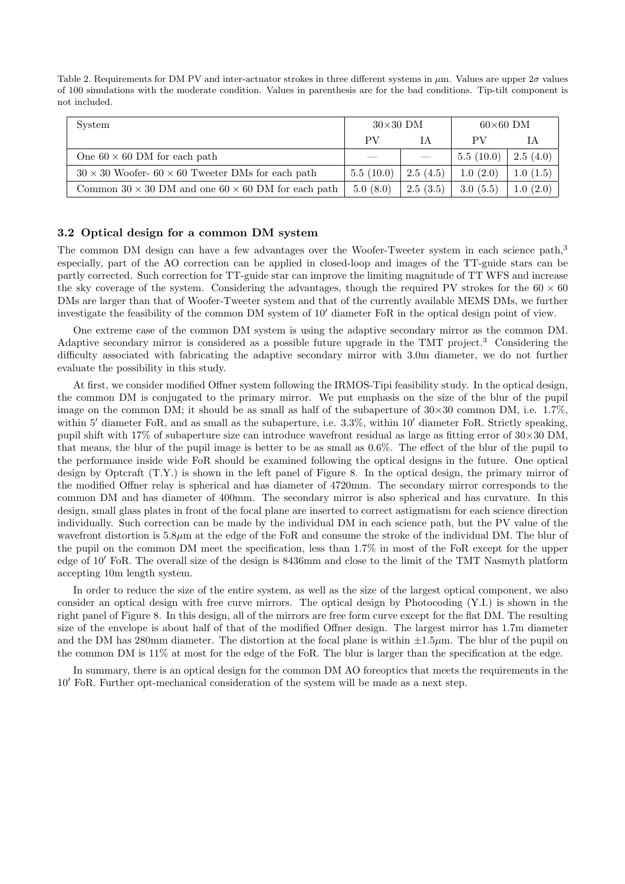Table 2. Requirements for DM PV and inter-actuator strokes in three different systems in *µ*m. Values are upper 2*σ* values of 100 simulations with the moderate condition. Values in parenthesis are for the bad conditions. Tip-tilt component is not included.

| System                                                           | $30\times30$ DM          |                          | $60\times60$ DM |          |
|------------------------------------------------------------------|--------------------------|--------------------------|-----------------|----------|
|                                                                  | PV                       | ĪΑ                       | PV              |          |
| One $60 \times 60$ DM for each path                              | $\overline{\phantom{a}}$ | $\overline{\phantom{a}}$ | 5.5(10.0)       | 2.5(4.0) |
| $30 \times 30$ Woofer- $60 \times 60$ Tweeter DMs for each path  | 5.5(10.0)                | 2.5(4.5)                 | 1.0(2.0)        | 1.0(1.5) |
| Common $30 \times 30$ DM and one $60 \times 60$ DM for each path | 5.0(8.0)                 | 2.5(3.5)                 | 3.0(5.5)        | 1.0(2.0) |

#### **3.2 Optical design for a common DM system**

The common DM design can have a few advantages over the Woofer-Tweeter system in each science path,<sup>3</sup> especially, part of the AO correction can be applied in closed-loop and images of the TT-guide stars can be partly corrected. Such correction for TT-guide star can improve the limiting magnitude of TT WFS and increase the sky coverage of the system. Considering the advantages, though the required PV strokes for the  $60 \times 60$ DMs are larger than that of Woofer-Tweeter system and that of the currently available MEMS DMs, we further investigate the feasibility of the common DM system of 10*′* diameter FoR in the optical design point of view.

One extreme case of the common DM system is using the adaptive secondary mirror as the common DM. Adaptive secondary mirror is considered as a possible future upgrade in the TMT project.<sup>3</sup> Considering the difficulty associated with fabricating the adaptive secondary mirror with 3.0m diameter, we do not further evaluate the possibility in this study.

At first, we consider modified Offner system following the IRMOS-Tipi feasibility study. In the optical design, the common DM is conjugated to the primary mirror. We put emphasis on the size of the blur of the pupil image on the common DM; it should be as small as half of the subaperture of 30*×*30 common DM, i.e. 1.7%, within 5<sup>*′*</sup> diameter FoR, and as small as the subaperture, i.e. 3.3%, within 10<sup>*′*</sup> diameter FoR. Strictly speaking, pupil shift with 17% of subaperture size can introduce wavefront residual as large as fitting error of 30*×*30 DM, that means, the blur of the pupil image is better to be as small as 0.6%. The effect of the blur of the pupil to the performance inside wide FoR should be examined following the optical designs in the future. One optical design by Optcraft (T.Y.) is shown in the left panel of Figure 8. In the optical design, the primary mirror of the modified Offner relay is spherical and has diameter of 4720mm. The secondary mirror corresponds to the common DM and has diameter of 400mm. The secondary mirror is also spherical and has curvature. In this design, small glass plates in front of the focal plane are inserted to correct astigmatism for each science direction individually. Such correction can be made by the individual DM in each science path, but the PV value of the wavefront distortion is 5.8*µ*m at the edge of the FoR and consume the stroke of the individual DM. The blur of the pupil on the common DM meet the specification, less than 1.7% in most of the FoR except for the upper edge of 10*′* FoR. The overall size of the design is 8436mm and close to the limit of the TMT Nasmyth platform accepting 10m length system.

In order to reduce the size of the entire system, as well as the size of the largest optical component, we also consider an optical design with free curve mirrors. The optical design by Photocoding (Y.I.) is shown in the right panel of Figure 8. In this design, all of the mirrors are free form curve except for the flat DM. The resulting size of the envelope is about half of that of the modified Offner design. The largest mirror has 1.7m diameter and the DM has 280mm diameter. The distortion at the focal plane is within  $\pm 1.5 \mu$ m. The blur of the pupil on the common DM is 11% at most for the edge of the FoR. The blur is larger than the specification at the edge.

In summary, there is an optical design for the common DM AO foreoptics that meets the requirements in the 10*′* FoR. Further opt-mechanical consideration of the system will be made as a next step.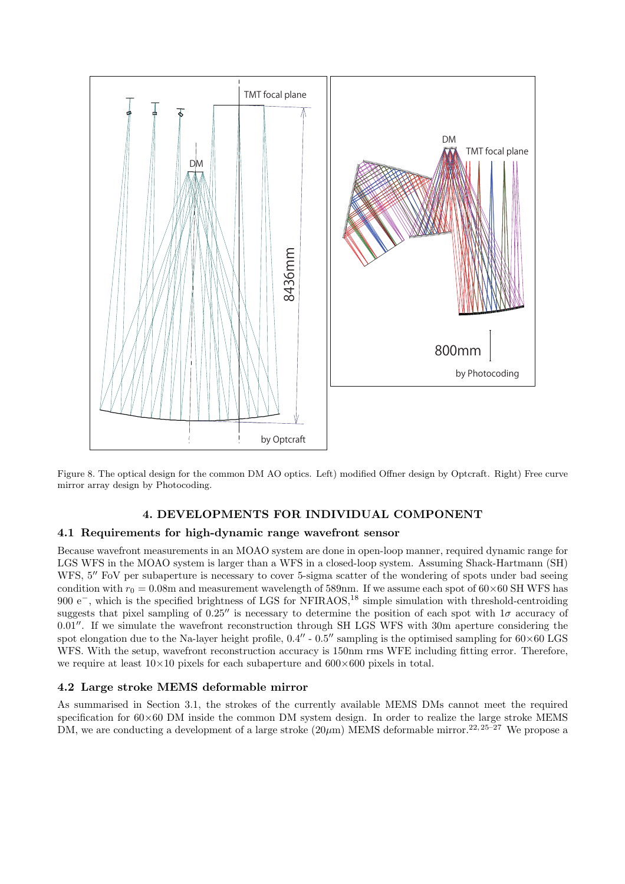

Figure 8. The optical design for the common DM AO optics. Left) modified Offner design by Optcraft. Right) Free curve mirror array design by Photocoding.

# **4. DEVELOPMENTS FOR INDIVIDUAL COMPONENT**

## **4.1 Requirements for high-dynamic range wavefront sensor**

Because wavefront measurements in an MOAO system are done in open-loop manner, required dynamic range for LGS WFS in the MOAO system is larger than a WFS in a closed-loop system. Assuming Shack-Hartmann (SH) WFS, 5<sup>*′′*</sup> FoV per subaperture is necessary to cover 5-sigma scatter of the wondering of spots under bad seeing condition with  $r_0 = 0.08$ m and measurement wavelength of 589nm. If we assume each spot of  $60 \times 60$  SH WFS has 900 e<sup>−</sup>, which is the specified brightness of LGS for NFIRAOS,<sup>18</sup> simple simulation with threshold-centroiding suggests that pixel sampling of 0.25*′′* is necessary to determine the position of each spot with 1*σ* accuracy of 0.01*′′*. If we simulate the wavefront reconstruction through SH LGS WFS with 30m aperture considering the spot elongation due to the Na-layer height profile, 0.4*′′* - 0.5*′′* sampling is the optimised sampling for 60*×*60 LGS WFS. With the setup, wavefront reconstruction accuracy is 150pm rms WFE including fitting error. Therefore, we require at least 10*×*10 pixels for each subaperture and 600*×*600 pixels in total.

## **4.2 Large stroke MEMS deformable mirror**

As summarised in Section 3.1, the strokes of the currently available MEMS DMs cannot meet the required specification for 60*×*60 DM inside the common DM system design. In order to realize the large stroke MEMS DM, we are conducting a development of a large stroke  $(20\mu m)$  MEMS deformable mirror.<sup>22, 25–27</sup> We propose a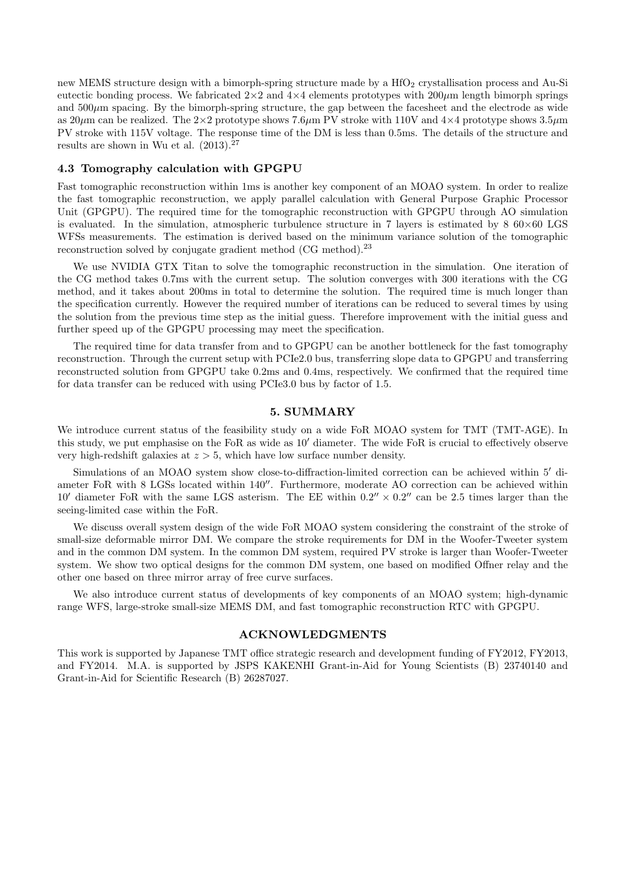new MEMS structure design with a bimorph-spring structure made by a  $HfO<sub>2</sub>$  crystallisation process and Au-Si eutectic bonding process. We fabricated  $2\times2$  and  $4\times4$  elements prototypes with  $200\mu$ m length bimorph springs and  $500\mu$ m spacing. By the bimorph-spring structure, the gap between the facesheet and the electrode as wide as 20*µ*m can be realized. The 2*×*2 prototype shows 7.6*µ*m PV stroke with 110V and 4*×*4 prototype shows 3.5*µ*m PV stroke with 115V voltage. The response time of the DM is less than 0.5ms. The details of the structure and results are shown in Wu et al.  $(2013).^{27}$ 

## **4.3 Tomography calculation with GPGPU**

Fast tomographic reconstruction within 1ms is another key component of an MOAO system. In order to realize the fast tomographic reconstruction, we apply parallel calculation with General Purpose Graphic Processor Unit (GPGPU). The required time for the tomographic reconstruction with GPGPU through AO simulation is evaluated. In the simulation, atmospheric turbulence structure in 7 layers is estimated by 8 60*×*60 LGS WFSs measurements. The estimation is derived based on the minimum variance solution of the tomographic reconstruction solved by conjugate gradient method (CG method).<sup>23</sup>

We use NVIDIA GTX Titan to solve the tomographic reconstruction in the simulation. One iteration of the CG method takes 0.7ms with the current setup. The solution converges with 300 iterations with the CG method, and it takes about 200ms in total to determine the solution. The required time is much longer than the specification currently. However the required number of iterations can be reduced to several times by using the solution from the previous time step as the initial guess. Therefore improvement with the initial guess and further speed up of the GPGPU processing may meet the specification.

The required time for data transfer from and to GPGPU can be another bottleneck for the fast tomography reconstruction. Through the current setup with PCIe2.0 bus, transferring slope data to GPGPU and transferring reconstructed solution from GPGPU take 0.2ms and 0.4ms, respectively. We confirmed that the required time for data transfer can be reduced with using PCIe3.0 bus by factor of 1.5.

## **5. SUMMARY**

We introduce current status of the feasibility study on a wide FoR MOAO system for TMT (TMT-AGE). In this study, we put emphasise on the FoR as wide as 10*′* diameter. The wide FoR is crucial to effectively observe very high-redshift galaxies at *z >* 5, which have low surface number density.

Simulations of an MOAO system show close-to-diffraction-limited correction can be achieved within 5*′* diameter FoR with 8 LGSs located within 140*′′*. Furthermore, moderate AO correction can be achieved within 10' diameter FoR with the same LGS asterism. The EE within  $0.2'' \times 0.2''$  can be 2.5 times larger than the seeing-limited case within the FoR.

We discuss overall system design of the wide FoR MOAO system considering the constraint of the stroke of small-size deformable mirror DM. We compare the stroke requirements for DM in the Woofer-Tweeter system and in the common DM system. In the common DM system, required PV stroke is larger than Woofer-Tweeter system. We show two optical designs for the common DM system, one based on modified Offner relay and the other one based on three mirror array of free curve surfaces.

We also introduce current status of developments of key components of an MOAO system; high-dynamic range WFS, large-stroke small-size MEMS DM, and fast tomographic reconstruction RTC with GPGPU.

#### **ACKNOWLEDGMENTS**

This work is supported by Japanese TMT office strategic research and development funding of FY2012, FY2013, and FY2014. M.A. is supported by JSPS KAKENHI Grant-in-Aid for Young Scientists (B) 23740140 and Grant-in-Aid for Scientific Research (B) 26287027.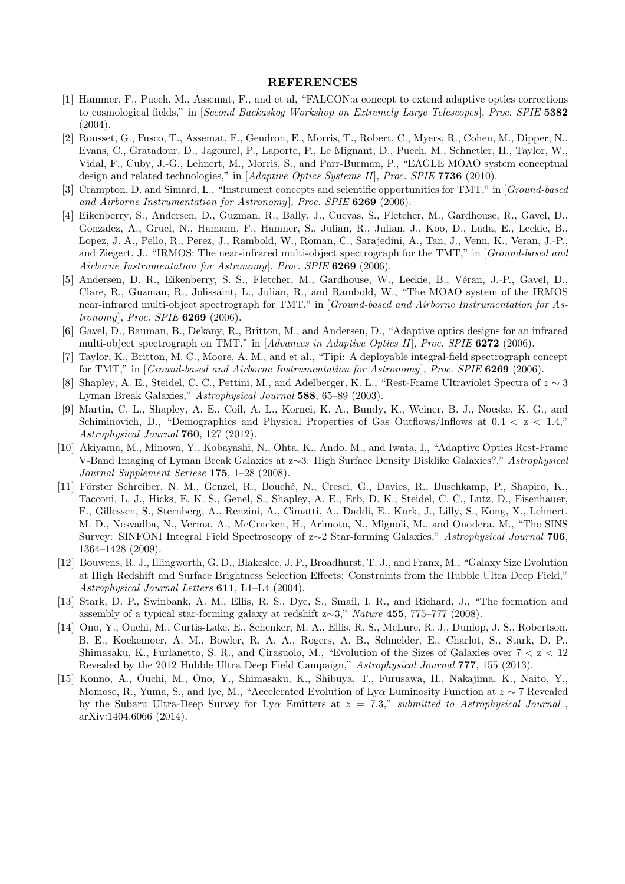#### **REFERENCES**

- [1] Hammer, F., Puech, M., Assemat, F., and et al, "FALCON:a concept to extend adaptive optics corrections to cosmological fields," in [*Second Backaskog Workshop on Extremely Large Telescopes* ], *Proc. SPIE* **5382** (2004).
- [2] Rousset, G., Fusco, T., Assemat, F., Gendron, E., Morris, T., Robert, C., Myers, R., Cohen, M., Dipper, N., Evans, C., Gratadour, D., Jagourel, P., Laporte, P., Le Mignant, D., Puech, M., Schnetler, H., Taylor, W., Vidal, F., Cuby, J.-G., Lehnert, M., Morris, S., and Parr-Burman, P., "EAGLE MOAO system conceptual design and related technologies," in [*Adaptive Optics Systems II*], *Proc. SPIE* **7736** (2010).
- [3] Crampton, D. and Simard, L., "Instrument concepts and scientific opportunities for TMT," in [*Ground-based and Airborne Instrumentation for Astronomy*], *Proc. SPIE* **6269** (2006).
- [4] Eikenberry, S., Andersen, D., Guzman, R., Bally, J., Cuevas, S., Fletcher, M., Gardhouse, R., Gavel, D., Gonzalez, A., Gruel, N., Hamann, F., Hamner, S., Julian, R., Julian, J., Koo, D., Lada, E., Leckie, B., Lopez, J. A., Pello, R., Perez, J., Rambold, W., Roman, C., Sarajedini, A., Tan, J., Venn, K., Veran, J.-P., and Ziegert, J., "IRMOS: The near-infrared multi-object spectrograph for the TMT," in [*Ground-based and Airborne Instrumentation for Astronomy*], *Proc. SPIE* **6269** (2006).
- [5] Andersen, D. R., Eikenberry, S. S., Fletcher, M., Gardhouse, W., Leckie, B., V´eran, J.-P., Gavel, D., Clare, R., Guzman, R., Jolissaint, L., Julian, R., and Rambold, W., "The MOAO system of the IRMOS near-infrared multi-object spectrograph for TMT," in [*Ground-based and Airborne Instrumentation for Astronomy*], *Proc. SPIE* **6269** (2006).
- [6] Gavel, D., Bauman, B., Dekany, R., Britton, M., and Andersen, D., "Adaptive optics designs for an infrared multi-object spectrograph on TMT," in [*Advances in Adaptive Optics II*], *Proc. SPIE* **6272** (2006).
- [7] Taylor, K., Britton, M. C., Moore, A. M., and et al., "Tipi: A deployable integral-field spectrograph concept for TMT," in [*Ground-based and Airborne Instrumentation for Astronomy*], *Proc. SPIE* **6269** (2006).
- [8] Shapley, A. E., Steidel, C. C., Pettini, M., and Adelberger, K. L., "Rest-Frame Ultraviolet Spectra of *z ∼* 3 Lyman Break Galaxies," *Astrophysical Journal* **588**, 65–89 (2003).
- [9] Martin, C. L., Shapley, A. E., Coil, A. L., Kornei, K. A., Bundy, K., Weiner, B. J., Noeske, K. G., and Schiminovich, D., "Demographics and Physical Properties of Gas Outflows/Inflows at 0.4 *<* z *<* 1.4," *Astrophysical Journal* **760**, 127 (2012).
- [10] Akiyama, M., Minowa, Y., Kobayashi, N., Ohta, K., Ando, M., and Iwata, I., "Adaptive Optics Rest-Frame V-Band Imaging of Lyman Break Galaxies at z*∼*3: High Surface Density Disklike Galaxies?," *Astrophysical Journal Supplement Seriese* **175**, 1–28 (2008).
- [11] Förster Schreiber, N. M., Genzel, R., Bouché, N., Cresci, G., Davies, R., Buschkamp, P., Shapiro, K., Tacconi, L. J., Hicks, E. K. S., Genel, S., Shapley, A. E., Erb, D. K., Steidel, C. C., Lutz, D., Eisenhauer, F., Gillessen, S., Sternberg, A., Renzini, A., Cimatti, A., Daddi, E., Kurk, J., Lilly, S., Kong, X., Lehnert, M. D., Nesvadba, N., Verma, A., McCracken, H., Arimoto, N., Mignoli, M., and Onodera, M., "The SINS Survey: SINFONI Integral Field Spectroscopy of z*∼*2 Star-forming Galaxies," *Astrophysical Journal* **706**, 1364–1428 (2009).
- [12] Bouwens, R. J., Illingworth, G. D., Blakeslee, J. P., Broadhurst, T. J., and Franx, M., "Galaxy Size Evolution at High Redshift and Surface Brightness Selection Effects: Constraints from the Hubble Ultra Deep Field," *Astrophysical Journal Letters* **611**, L1–L4 (2004).
- [13] Stark, D. P., Swinbank, A. M., Ellis, R. S., Dye, S., Smail, I. R., and Richard, J., "The formation and assembly of a typical star-forming galaxy at redshift z*∼*3," *Nature* **455**, 775–777 (2008).
- [14] Ono, Y., Ouchi, M., Curtis-Lake, E., Schenker, M. A., Ellis, R. S., McLure, R. J., Dunlop, J. S., Robertson, B. E., Koekemoer, A. M., Bowler, R. A. A., Rogers, A. B., Schneider, E., Charlot, S., Stark, D. P., Shimasaku, K., Furlanetto, S. R., and Cirasuolo, M., "Evolution of the Sizes of Galaxies over 7 *<* z *<* 12 Revealed by the 2012 Hubble Ultra Deep Field Campaign," *Astrophysical Journal* **777**, 155 (2013).
- [15] Konno, A., Ouchi, M., Ono, Y., Shimasaku, K., Shibuya, T., Furusawa, H., Nakajima, K., Naito, Y., Momose, R., Yuma, S., and Iye, M., "Accelerated Evolution of Ly*α* Luminosity Function at *z ∼* 7 Revealed by the Subaru Ultra-Deep Survey for Ly*α* Emitters at *z* = 7*.*3," *submitted to Astrophysical Journal* , arXiv:1404.6066 (2014).